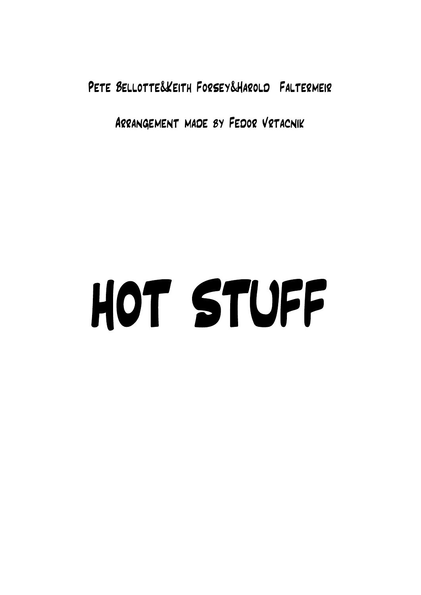Pete Bellotte&Keith Forsey&Harold Faltermeir

Arrangement made by Fedor Vrtacnik

## HOT STUFF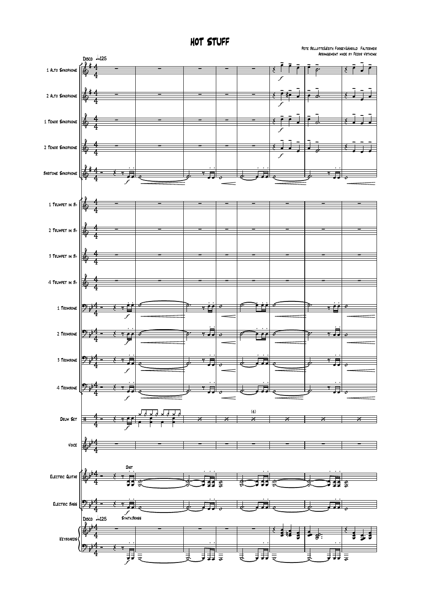HOT STUFF

Pete Bellotte&Keith Forsey&Harold Faltermeir Arrangement made by Fedor Vrtacnik